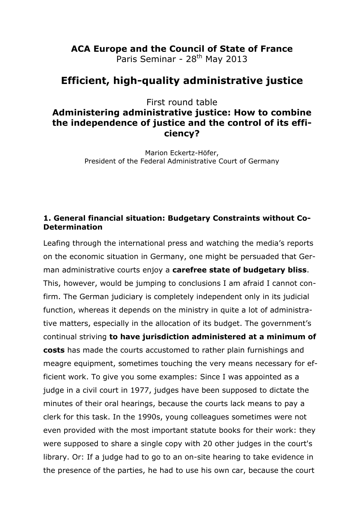# **ACA Europe and the Council of State of France**

Paris Seminar - 28<sup>th</sup> May 2013

## **Efficient, high-quality administrative justice**

First round table

### **Administering administrative justice: How to combine the independence of justice and the control of its efficiency?**

Marion Eckertz-Höfer, President of the Federal Administrative Court of Germany

#### **1. General financial situation: Budgetary Constraints without Co-Determination**

Leafing through the international press and watching the media's reports on the economic situation in Germany, one might be persuaded that German administrative courts enjoy a **carefree state of budgetary bliss**. This, however, would be jumping to conclusions I am afraid I cannot confirm. The German judiciary is completely independent only in its judicial function, whereas it depends on the ministry in quite a lot of administrative matters, especially in the allocation of its budget. The government's continual striving **to have jurisdiction administered at a minimum of costs** has made the courts accustomed to rather plain furnishings and meagre equipment, sometimes touching the very means necessary for efficient work. To give you some examples: Since I was appointed as a judge in a civil court in 1977, judges have been supposed to dictate the minutes of their oral hearings, because the courts lack means to pay a clerk for this task. In the 1990s, young colleagues sometimes were not even provided with the most important statute books for their work: they were supposed to share a single copy with 20 other judges in the court's library. Or: If a judge had to go to an on-site hearing to take evidence in the presence of the parties, he had to use his own car, because the court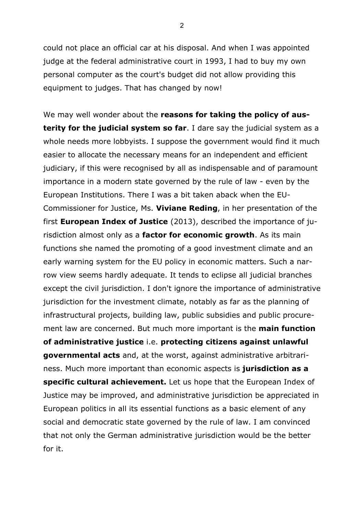could not place an official car at his disposal. And when I was appointed judge at the federal administrative court in 1993, I had to buy my own personal computer as the court's budget did not allow providing this equipment to judges. That has changed by now!

We may well wonder about the **reasons for taking the policy of austerity for the judicial system so far**. I dare say the judicial system as a whole needs more lobbyists. I suppose the government would find it much easier to allocate the necessary means for an independent and efficient judiciary, if this were recognised by all as indispensable and of paramount importance in a modern state governed by the rule of law - even by the European Institutions. There I was a bit taken aback when the EU-Commissioner for Justice, Ms. **Viviane Reding**, in her presentation of the first **European Index of Justice** (2013), described the importance of jurisdiction almost only as a **factor for economic growth**. As its main functions she named the promoting of a good investment climate and an early warning system for the EU policy in economic matters. Such a narrow view seems hardly adequate. It tends to eclipse all judicial branches except the civil jurisdiction. I don't ignore the importance of administrative jurisdiction for the investment climate, notably as far as the planning of infrastructural projects, building law, public subsidies and public procurement law are concerned. But much more important is the **main function of administrative justice** i.e. **protecting citizens against unlawful governmental acts** and, at the worst, against administrative arbitrariness. Much more important than economic aspects is **jurisdiction as a specific cultural achievement.** Let us hope that the European Index of Justice may be improved, and administrative jurisdiction be appreciated in European politics in all its essential functions as a basic element of any social and democratic state governed by the rule of law. I am convinced that not only the German administrative jurisdiction would be the better for it.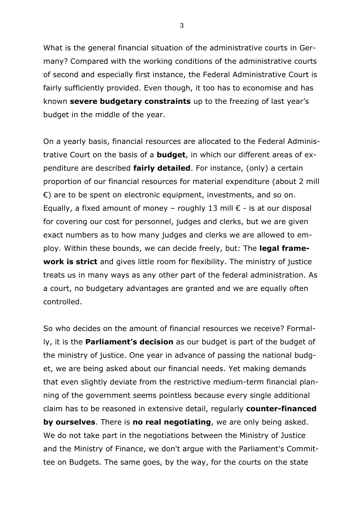What is the general financial situation of the administrative courts in Germany? Compared with the working conditions of the administrative courts of second and especially first instance, the Federal Administrative Court is fairly sufficiently provided. Even though, it too has to economise and has known **severe budgetary constraints** up to the freezing of last year's budget in the middle of the year.

On a yearly basis, financial resources are allocated to the Federal Administrative Court on the basis of a **budget**, in which our different areas of expenditure are described **fairly detailed**. For instance, (only) a certain proportion of our financial resources for material expenditure (about 2 mill  $\epsilon$ ) are to be spent on electronic equipment, investments, and so on. Equally, a fixed amount of money – roughly 13 mill  $\epsilon$  - is at our disposal for covering our cost for personnel, judges and clerks, but we are given exact numbers as to how many judges and clerks we are allowed to employ. Within these bounds, we can decide freely, but: The **legal framework is strict** and gives little room for flexibility. The ministry of justice treats us in many ways as any other part of the federal administration. As a court, no budgetary advantages are granted and we are equally often controlled.

So who decides on the amount of financial resources we receive? Formally, it is the **Parliament's decision** as our budget is part of the budget of the ministry of justice. One year in advance of passing the national budget, we are being asked about our financial needs. Yet making demands that even slightly deviate from the restrictive medium-term financial planning of the government seems pointless because every single additional claim has to be reasoned in extensive detail, regularly **counter-financed by ourselves**. There is **no real negotiating**, we are only being asked. We do not take part in the negotiations between the Ministry of Justice and the Ministry of Finance, we don't argue with the Parliament's Committee on Budgets. The same goes, by the way, for the courts on the state

3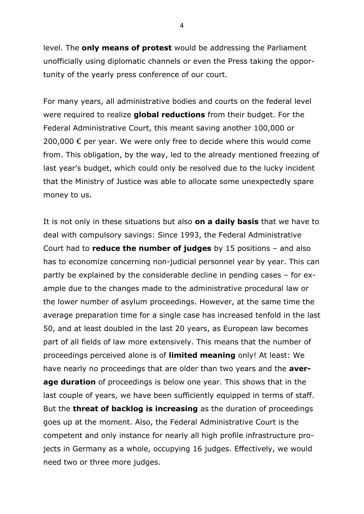level. The **only means of protest** would be addressing the Parliament unofficially using diplomatic channels or even the Press taking the opportunity of the yearly press conference of our court.

For many years, all administrative bodies and courts on the federal level were required to realize **global reductions** from their budget. For the Federal Administrative Court, this meant saving another 100,000 or 200,000  $€$  per year. We were only free to decide where this would come from. This obligation, by the way, led to the already mentioned freezing of last year's budget, which could only be resolved due to the lucky incident that the Ministry of Justice was able to allocate some unexpectedly spare money to us.

It is not only in these situations but also **on a daily basis** that we have to deal with compulsory savings: Since 1993, the Federal Administrative Court had to **reduce the number of judges** by 15 positions – and also has to economize concerning non-judicial personnel year by year. This can partly be explained by the considerable decline in pending cases – for example due to the changes made to the administrative procedural law or the lower number of asylum proceedings. However, at the same time the average preparation time for a single case has increased tenfold in the last 50, and at least doubled in the last 20 years, as European law becomes part of all fields of law more extensively. This means that the number of proceedings perceived alone is of **limited meaning** only! At least: We have nearly no proceedings that are older than two years and the **average duration** of proceedings is below one year. This shows that in the last couple of years, we have been sufficiently equipped in terms of staff. But the **threat of backlog is increasing** as the duration of proceedings goes up at the moment. Also, the Federal Administrative Court is the competent and only instance for nearly all high profile infrastructure projects in Germany as a whole, occupying 16 judges. Effectively, we would need two or three more judges.

4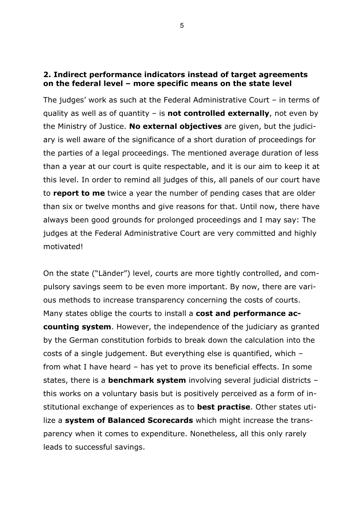#### **2. Indirect performance indicators instead of target agreements on the federal level – more specific means on the state level**

The judges' work as such at the Federal Administrative Court – in terms of quality as well as of quantity – is **not controlled externally**, not even by the Ministry of Justice. **No external objectives** are given, but the judiciary is well aware of the significance of a short duration of proceedings for the parties of a legal proceedings. The mentioned average duration of less than a year at our court is quite respectable, and it is our aim to keep it at this level. In order to remind all judges of this, all panels of our court have to **report to me** twice a year the number of pending cases that are older than six or twelve months and give reasons for that. Until now, there have always been good grounds for prolonged proceedings and I may say: The judges at the Federal Administrative Court are very committed and highly motivated!

On the state ("Länder") level, courts are more tightly controlled, and compulsory savings seem to be even more important. By now, there are various methods to increase transparency concerning the costs of courts. Many states oblige the courts to install a **cost and performance accounting system**. However, the independence of the judiciary as granted by the German constitution forbids to break down the calculation into the costs of a single judgement. But everything else is quantified, which – from what I have heard – has yet to prove its beneficial effects. In some states, there is a **benchmark system** involving several judicial districts – this works on a voluntary basis but is positively perceived as a form of institutional exchange of experiences as to **best practise**. Other states utilize a **system of Balanced Scorecards** which might increase the transparency when it comes to expenditure. Nonetheless, all this only rarely leads to successful savings.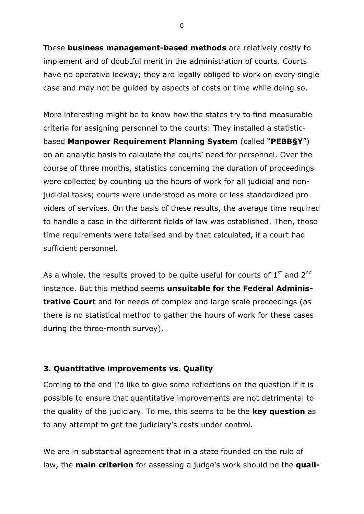These **business management-based methods** are relatively costly to implement and of doubtful merit in the administration of courts. Courts have no operative leeway; they are legally obliged to work on every single case and may not be guided by aspects of costs or time while doing so.

More interesting might be to know how the states try to find measurable criteria for assigning personnel to the courts: They installed a statisticbased **Manpower Requirement Planning System** (called "**PEBB§Y**") on an analytic basis to calculate the courts' need for personnel. Over the course of three months, statistics concerning the duration of proceedings were collected by counting up the hours of work for all judicial and nonjudicial tasks; courts were understood as more or less standardized providers of services. On the basis of these results, the average time required to handle a case in the different fields of law was established. Then, those time requirements were totalised and by that calculated, if a court had sufficient personnel.

As a whole, the results proved to be quite useful for courts of  $1<sup>st</sup>$  and  $2<sup>nd</sup>$ instance. But this method seems **unsuitable for the Federal Administrative Court** and for needs of complex and large scale proceedings (as there is no statistical method to gather the hours of work for these cases during the three-month survey).

#### **3. Quantitative improvements vs. Quality**

Coming to the end I'd like to give some reflections on the question if it is possible to ensure that quantitative improvements are not detrimental to the quality of the judiciary. To me, this seems to be the **key question** as to any attempt to get the judiciary's costs under control.

We are in substantial agreement that in a state founded on the rule of law, the **main criterion** for assessing a judge's work should be the **quali-**

6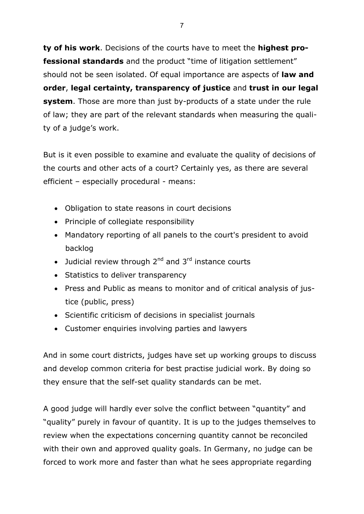**ty of his work**. Decisions of the courts have to meet the **highest professional standards** and the product "time of litigation settlement" should not be seen isolated. Of equal importance are aspects of **law and order**, **legal certainty, transparency of justice** and **trust in our legal system**. Those are more than just by-products of a state under the rule of law; they are part of the relevant standards when measuring the quality of a judge's work.

But is it even possible to examine and evaluate the quality of decisions of the courts and other acts of a court? Certainly yes, as there are several efficient – especially procedural - means:

- Obligation to state reasons in court decisions
- Principle of collegiate responsibility
- Mandatory reporting of all panels to the court's president to avoid backlog
- Judicial review through  $2^{nd}$  and  $3^{rd}$  instance courts
- Statistics to deliver transparency
- Press and Public as means to monitor and of critical analysis of justice (public, press)
- Scientific criticism of decisions in specialist journals
- Customer enquiries involving parties and lawyers

And in some court districts, judges have set up working groups to discuss and develop common criteria for best practise judicial work. By doing so they ensure that the self-set quality standards can be met.

A good judge will hardly ever solve the conflict between "quantity" and "quality" purely in favour of quantity. It is up to the judges themselves to review when the expectations concerning quantity cannot be reconciled with their own and approved quality goals. In Germany, no judge can be forced to work more and faster than what he sees appropriate regarding